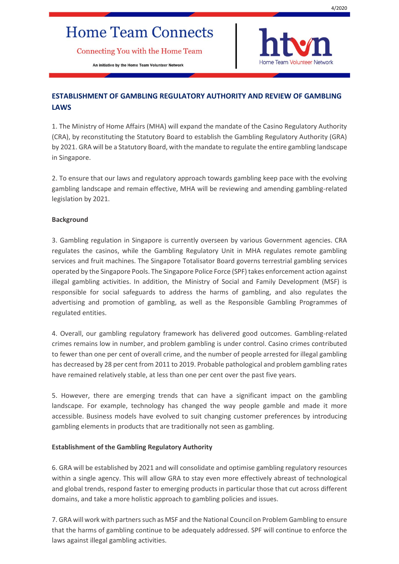# **Home Team Connects**

Connecting You with the Home Team

An initiative by the Home Team Volunteer Network



# **ESTABLISHMENT OF GAMBLING REGULATORY AUTHORITY AND REVIEW OF GAMBLING LAWS**

1. The Ministry of Home Affairs (MHA) will expand the mandate of the Casino Regulatory Authority (CRA), by reconstituting the Statutory Board to establish the Gambling Regulatory Authority (GRA) by 2021. GRA will be a Statutory Board, with the mandate to regulate the entire gambling landscape in Singapore.

2. To ensure that our laws and regulatory approach towards gambling keep pace with the evolving gambling landscape and remain effective, MHA will be reviewing and amending gambling-related legislation by 2021.

### **Background**

3. Gambling regulation in Singapore is currently overseen by various Government agencies. CRA regulates the casinos, while the Gambling Regulatory Unit in MHA regulates remote gambling services and fruit machines. The Singapore Totalisator Board governs terrestrial gambling services operated by the Singapore Pools. The Singapore Police Force (SPF) takes enforcement action against illegal gambling activities. In addition, the Ministry of Social and Family Development (MSF) is responsible for social safeguards to address the harms of gambling, and also regulates the advertising and promotion of gambling, as well as the Responsible Gambling Programmes of regulated entities.

4. Overall, our gambling regulatory framework has delivered good outcomes. Gambling-related crimes remains low in number, and problem gambling is under control. Casino crimes contributed to fewer than one per cent of overall crime, and the number of people arrested for illegal gambling has decreased by 28 per cent from 2011 to 2019. Probable pathological and problem gambling rates have remained relatively stable, at less than one per cent over the past five years.

5. However, there are emerging trends that can have a significant impact on the gambling landscape. For example, technology has changed the way people gamble and made it more accessible. Business models have evolved to suit changing customer preferences by introducing gambling elements in products that are traditionally not seen as gambling.

#### **Establishment of the Gambling Regulatory Authority**

6. GRA will be established by 2021 and will consolidate and optimise gambling regulatory resources within a single agency. This will allow GRA to stay even more effectively abreast of technological and global trends, respond faster to emerging products in particular those that cut across different domains, and take a more holistic approach to gambling policies and issues.

7. GRA will work with partners such as MSF and the National Council on Problem Gambling to ensure that the harms of gambling continue to be adequately addressed. SPF will continue to enforce the laws against illegal gambling activities.